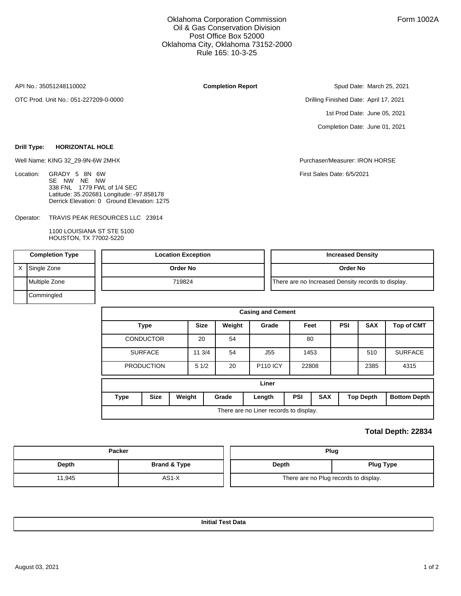## Oklahoma Corporation Commission Oil & Gas Conservation Division Post Office Box 52000 Oklahoma City, Oklahoma 73152-2000 Rule 165: 10-3-25

API No.: 35051248110002

Location:

OTC Prod. Unit No.: 051-227209-0-0000

**Drill Type: HORIZONTAL HOLE**

## **Completion Report**

Spud Date: March 25, 2021

Drilling Finished Date: April 17, 2021 1st Prod Date: June 05, 2021 Completion Date: June 01, 2021

Well Name: KING 32\_29-9N-6W 2MHX Purchaser/Measurer: IRON HORSE

First Sales Date: 6/5/2021

TRAVIS PEAK RESOURCES LLC 23914 Operator: Derrick Elevation: 0 Ground Elevation: 1275

338 FNL 1779 FWL of 1/4 SEC

Latitude: 35.202681 Longitude: -97.858178

GRADY 5 8N 6W SE NW NE NW

1100 LOUISIANA ST STE 5100 HOUSTON, TX 77002-5220

| <b>Completion Type</b> |               | <b>Location Exception</b> | <b>Increased Density</b>                           |  |  |  |  |
|------------------------|---------------|---------------------------|----------------------------------------------------|--|--|--|--|
|                        | Single Zone   | Order No                  | Order No                                           |  |  |  |  |
|                        | Multiple Zone | 719824                    | There are no Increased Density records to display. |  |  |  |  |
|                        | Commingled    |                           |                                                    |  |  |  |  |

| <b>Casing and Cement</b>               |                  |        |                       |       |                 |            |            |            |                  |                     |  |
|----------------------------------------|------------------|--------|-----------------------|-------|-----------------|------------|------------|------------|------------------|---------------------|--|
|                                        | <b>Type</b>      |        | <b>Size</b><br>Weight |       | Grade           | Feet       |            | <b>PSI</b> | <b>SAX</b>       | <b>Top of CMT</b>   |  |
|                                        | <b>CONDUCTOR</b> |        | 20                    | 54    |                 | 80         |            |            |                  |                     |  |
|                                        | <b>SURFACE</b>   |        | 11 3/4                | 54    | J <sub>55</sub> |            | 1453       |            | 510              | <b>SURFACE</b>      |  |
| <b>PRODUCTION</b>                      |                  |        | 51/2                  | 20    | <b>P110 ICY</b> | 22808      |            |            |                  | 4315                |  |
| Liner                                  |                  |        |                       |       |                 |            |            |            |                  |                     |  |
| <b>Type</b>                            | <b>Size</b>      | Weight |                       | Grade | Length          | <b>PSI</b> | <b>SAX</b> |            | <b>Top Depth</b> | <b>Bottom Depth</b> |  |
| There are no Liner records to display. |                  |        |                       |       |                 |            |            |            |                  |                     |  |

## **Total Depth: 22834**

|        | Packer       | Plug |                                       |  |  |  |
|--------|--------------|------|---------------------------------------|--|--|--|
| Depth  | Brand & Type |      | Depth<br><b>Plug Type</b>             |  |  |  |
| 11,945 | $AS1-X$      |      | There are no Plug records to display. |  |  |  |

**Initial Test Data**